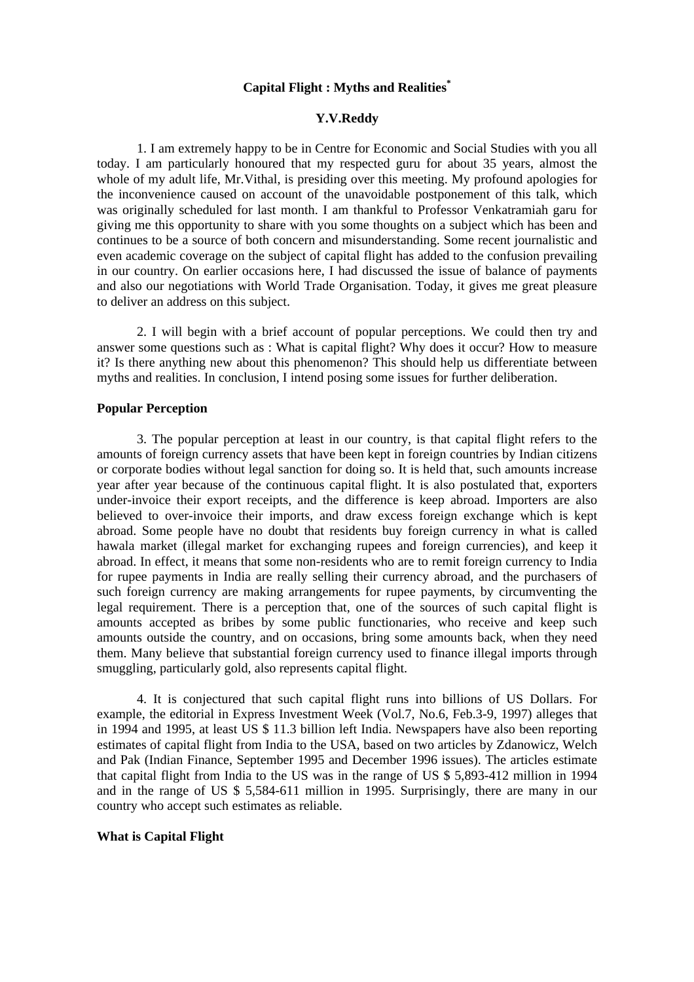# **Capital Flight : Myths and Realities\***

#### **Y.V.Reddy**

1. I am extremely happy to be in Centre for Economic and Social Studies with you all today. I am particularly honoured that my respected guru for about 35 years, almost the whole of my adult life, Mr.Vithal, is presiding over this meeting. My profound apologies for the inconvenience caused on account of the unavoidable postponement of this talk, which was originally scheduled for last month. I am thankful to Professor Venkatramiah garu for giving me this opportunity to share with you some thoughts on a subject which has been and continues to be a source of both concern and misunderstanding. Some recent journalistic and even academic coverage on the subject of capital flight has added to the confusion prevailing in our country. On earlier occasions here, I had discussed the issue of balance of payments and also our negotiations with World Trade Organisation. Today, it gives me great pleasure to deliver an address on this subject.

2. I will begin with a brief account of popular perceptions. We could then try and answer some questions such as : What is capital flight? Why does it occur? How to measure it? Is there anything new about this phenomenon? This should help us differentiate between myths and realities. In conclusion, I intend posing some issues for further deliberation.

# **Popular Perception**

3. The popular perception at least in our country, is that capital flight refers to the amounts of foreign currency assets that have been kept in foreign countries by Indian citizens or corporate bodies without legal sanction for doing so. It is held that, such amounts increase year after year because of the continuous capital flight. It is also postulated that, exporters under-invoice their export receipts, and the difference is keep abroad. Importers are also believed to over-invoice their imports, and draw excess foreign exchange which is kept abroad. Some people have no doubt that residents buy foreign currency in what is called hawala market (illegal market for exchanging rupees and foreign currencies), and keep it abroad. In effect, it means that some non-residents who are to remit foreign currency to India for rupee payments in India are really selling their currency abroad, and the purchasers of such foreign currency are making arrangements for rupee payments, by circumventing the legal requirement. There is a perception that, one of the sources of such capital flight is amounts accepted as bribes by some public functionaries, who receive and keep such amounts outside the country, and on occasions, bring some amounts back, when they need them. Many believe that substantial foreign currency used to finance illegal imports through smuggling, particularly gold, also represents capital flight.

4. It is conjectured that such capital flight runs into billions of US Dollars. For example, the editorial in Express Investment Week (Vol.7, No.6, Feb.3-9, 1997) alleges that in 1994 and 1995, at least US \$ 11.3 billion left India. Newspapers have also been reporting estimates of capital flight from India to the USA, based on two articles by Zdanowicz, Welch and Pak (Indian Finance, September 1995 and December 1996 issues). The articles estimate that capital flight from India to the US was in the range of US \$ 5,893-412 million in 1994 and in the range of US \$ 5,584-611 million in 1995. Surprisingly, there are many in our country who accept such estimates as reliable.

# **What is Capital Flight**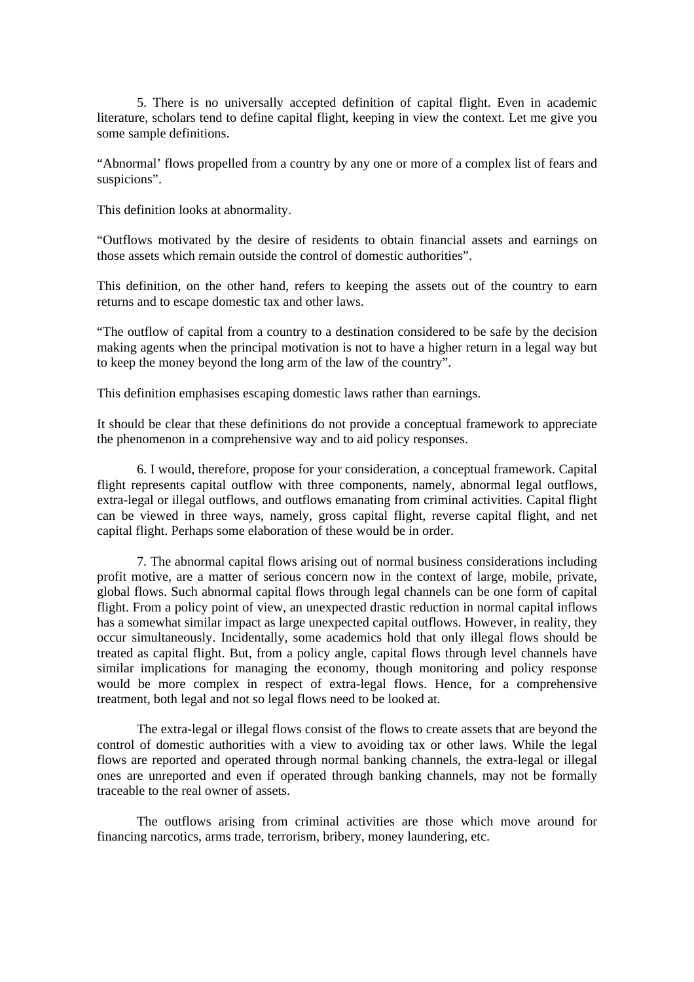5. There is no universally accepted definition of capital flight. Even in academic literature, scholars tend to define capital flight, keeping in view the context. Let me give you some sample definitions.

"Abnormal' flows propelled from a country by any one or more of a complex list of fears and suspicions".

This definition looks at abnormality.

"Outflows motivated by the desire of residents to obtain financial assets and earnings on those assets which remain outside the control of domestic authorities".

This definition, on the other hand, refers to keeping the assets out of the country to earn returns and to escape domestic tax and other laws.

"The outflow of capital from a country to a destination considered to be safe by the decision making agents when the principal motivation is not to have a higher return in a legal way but to keep the money beyond the long arm of the law of the country".

This definition emphasises escaping domestic laws rather than earnings.

It should be clear that these definitions do not provide a conceptual framework to appreciate the phenomenon in a comprehensive way and to aid policy responses.

6. I would, therefore, propose for your consideration, a conceptual framework. Capital flight represents capital outflow with three components, namely, abnormal legal outflows, extra-legal or illegal outflows, and outflows emanating from criminal activities. Capital flight can be viewed in three ways, namely, gross capital flight, reverse capital flight, and net capital flight. Perhaps some elaboration of these would be in order.

7. The abnormal capital flows arising out of normal business considerations including profit motive, are a matter of serious concern now in the context of large, mobile, private, global flows. Such abnormal capital flows through legal channels can be one form of capital flight. From a policy point of view, an unexpected drastic reduction in normal capital inflows has a somewhat similar impact as large unexpected capital outflows. However, in reality, they occur simultaneously. Incidentally, some academics hold that only illegal flows should be treated as capital flight. But, from a policy angle, capital flows through level channels have similar implications for managing the economy, though monitoring and policy response would be more complex in respect of extra-legal flows. Hence, for a comprehensive treatment, both legal and not so legal flows need to be looked at.

The extra-legal or illegal flows consist of the flows to create assets that are beyond the control of domestic authorities with a view to avoiding tax or other laws. While the legal flows are reported and operated through normal banking channels, the extra-legal or illegal ones are unreported and even if operated through banking channels, may not be formally traceable to the real owner of assets.

The outflows arising from criminal activities are those which move around for financing narcotics, arms trade, terrorism, bribery, money laundering, etc.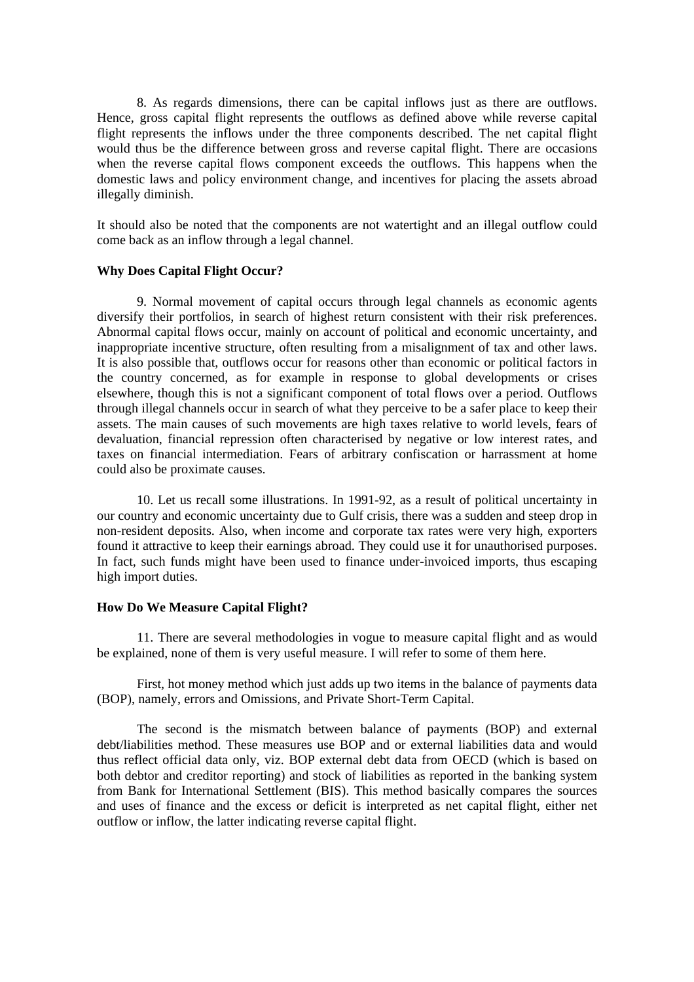8. As regards dimensions, there can be capital inflows just as there are outflows. Hence, gross capital flight represents the outflows as defined above while reverse capital flight represents the inflows under the three components described. The net capital flight would thus be the difference between gross and reverse capital flight. There are occasions when the reverse capital flows component exceeds the outflows. This happens when the domestic laws and policy environment change, and incentives for placing the assets abroad illegally diminish.

It should also be noted that the components are not watertight and an illegal outflow could come back as an inflow through a legal channel.

#### **Why Does Capital Flight Occur?**

9. Normal movement of capital occurs through legal channels as economic agents diversify their portfolios, in search of highest return consistent with their risk preferences. Abnormal capital flows occur, mainly on account of political and economic uncertainty, and inappropriate incentive structure, often resulting from a misalignment of tax and other laws. It is also possible that, outflows occur for reasons other than economic or political factors in the country concerned, as for example in response to global developments or crises elsewhere, though this is not a significant component of total flows over a period. Outflows through illegal channels occur in search of what they perceive to be a safer place to keep their assets. The main causes of such movements are high taxes relative to world levels, fears of devaluation, financial repression often characterised by negative or low interest rates, and taxes on financial intermediation. Fears of arbitrary confiscation or harrassment at home could also be proximate causes.

10. Let us recall some illustrations. In 1991-92, as a result of political uncertainty in our country and economic uncertainty due to Gulf crisis, there was a sudden and steep drop in non-resident deposits. Also, when income and corporate tax rates were very high, exporters found it attractive to keep their earnings abroad. They could use it for unauthorised purposes. In fact, such funds might have been used to finance under-invoiced imports, thus escaping high import duties.

### **How Do We Measure Capital Flight?**

11. There are several methodologies in vogue to measure capital flight and as would be explained, none of them is very useful measure. I will refer to some of them here.

First, hot money method which just adds up two items in the balance of payments data (BOP), namely, errors and Omissions, and Private Short-Term Capital.

The second is the mismatch between balance of payments (BOP) and external debt/liabilities method. These measures use BOP and or external liabilities data and would thus reflect official data only, viz. BOP external debt data from OECD (which is based on both debtor and creditor reporting) and stock of liabilities as reported in the banking system from Bank for International Settlement (BIS). This method basically compares the sources and uses of finance and the excess or deficit is interpreted as net capital flight, either net outflow or inflow, the latter indicating reverse capital flight.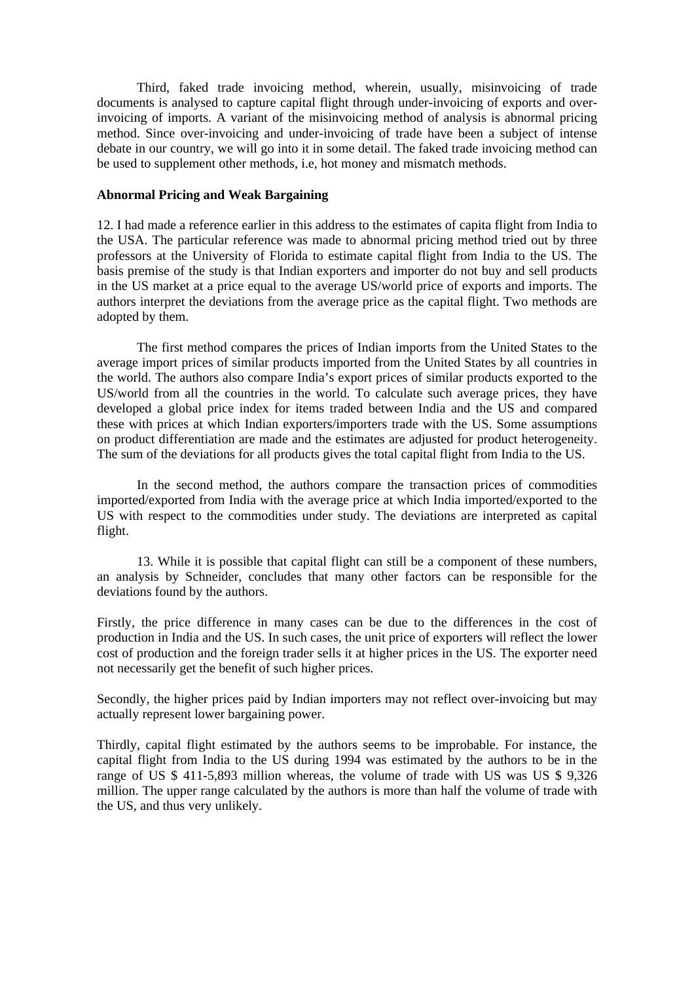Third, faked trade invoicing method, wherein, usually, misinvoicing of trade documents is analysed to capture capital flight through under-invoicing of exports and overinvoicing of imports. A variant of the misinvoicing method of analysis is abnormal pricing method. Since over-invoicing and under-invoicing of trade have been a subject of intense debate in our country, we will go into it in some detail. The faked trade invoicing method can be used to supplement other methods, i.e, hot money and mismatch methods.

# **Abnormal Pricing and Weak Bargaining**

12. I had made a reference earlier in this address to the estimates of capita flight from India to the USA. The particular reference was made to abnormal pricing method tried out by three professors at the University of Florida to estimate capital flight from India to the US. The basis premise of the study is that Indian exporters and importer do not buy and sell products in the US market at a price equal to the average US/world price of exports and imports. The authors interpret the deviations from the average price as the capital flight. Two methods are adopted by them.

The first method compares the prices of Indian imports from the United States to the average import prices of similar products imported from the United States by all countries in the world. The authors also compare India's export prices of similar products exported to the US/world from all the countries in the world. To calculate such average prices, they have developed a global price index for items traded between India and the US and compared these with prices at which Indian exporters/importers trade with the US. Some assumptions on product differentiation are made and the estimates are adjusted for product heterogeneity. The sum of the deviations for all products gives the total capital flight from India to the US.

In the second method, the authors compare the transaction prices of commodities imported/exported from India with the average price at which India imported/exported to the US with respect to the commodities under study. The deviations are interpreted as capital flight.

13. While it is possible that capital flight can still be a component of these numbers, an analysis by Schneider, concludes that many other factors can be responsible for the deviations found by the authors.

Firstly, the price difference in many cases can be due to the differences in the cost of production in India and the US. In such cases, the unit price of exporters will reflect the lower cost of production and the foreign trader sells it at higher prices in the US. The exporter need not necessarily get the benefit of such higher prices.

Secondly, the higher prices paid by Indian importers may not reflect over-invoicing but may actually represent lower bargaining power.

Thirdly, capital flight estimated by the authors seems to be improbable. For instance, the capital flight from India to the US during 1994 was estimated by the authors to be in the range of US \$ 411-5,893 million whereas, the volume of trade with US was US \$ 9,326 million. The upper range calculated by the authors is more than half the volume of trade with the US, and thus very unlikely.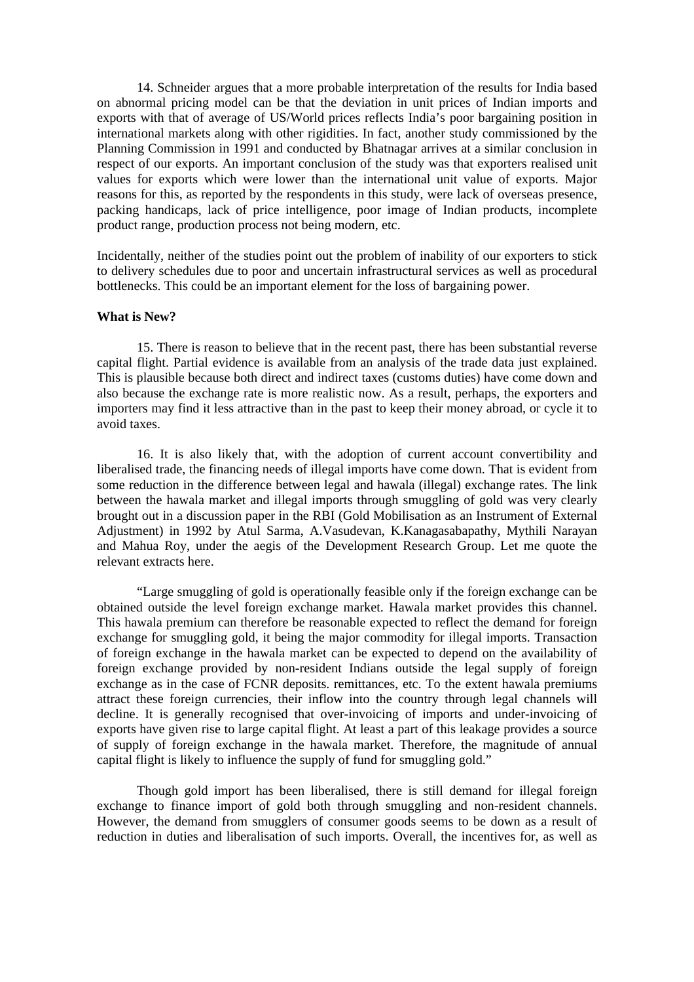14. Schneider argues that a more probable interpretation of the results for India based on abnormal pricing model can be that the deviation in unit prices of Indian imports and exports with that of average of US/World prices reflects India's poor bargaining position in international markets along with other rigidities. In fact, another study commissioned by the Planning Commission in 1991 and conducted by Bhatnagar arrives at a similar conclusion in respect of our exports. An important conclusion of the study was that exporters realised unit values for exports which were lower than the international unit value of exports. Major reasons for this, as reported by the respondents in this study, were lack of overseas presence, packing handicaps, lack of price intelligence, poor image of Indian products, incomplete product range, production process not being modern, etc.

Incidentally, neither of the studies point out the problem of inability of our exporters to stick to delivery schedules due to poor and uncertain infrastructural services as well as procedural bottlenecks. This could be an important element for the loss of bargaining power.

### **What is New?**

15. There is reason to believe that in the recent past, there has been substantial reverse capital flight. Partial evidence is available from an analysis of the trade data just explained. This is plausible because both direct and indirect taxes (customs duties) have come down and also because the exchange rate is more realistic now. As a result, perhaps, the exporters and importers may find it less attractive than in the past to keep their money abroad, or cycle it to avoid taxes.

16. It is also likely that, with the adoption of current account convertibility and liberalised trade, the financing needs of illegal imports have come down. That is evident from some reduction in the difference between legal and hawala (illegal) exchange rates. The link between the hawala market and illegal imports through smuggling of gold was very clearly brought out in a discussion paper in the RBI (Gold Mobilisation as an Instrument of External Adjustment) in 1992 by Atul Sarma, A.Vasudevan, K.Kanagasabapathy, Mythili Narayan and Mahua Roy, under the aegis of the Development Research Group. Let me quote the relevant extracts here.

"Large smuggling of gold is operationally feasible only if the foreign exchange can be obtained outside the level foreign exchange market. Hawala market provides this channel. This hawala premium can therefore be reasonable expected to reflect the demand for foreign exchange for smuggling gold, it being the major commodity for illegal imports. Transaction of foreign exchange in the hawala market can be expected to depend on the availability of foreign exchange provided by non-resident Indians outside the legal supply of foreign exchange as in the case of FCNR deposits. remittances, etc. To the extent hawala premiums attract these foreign currencies, their inflow into the country through legal channels will decline. It is generally recognised that over-invoicing of imports and under-invoicing of exports have given rise to large capital flight. At least a part of this leakage provides a source of supply of foreign exchange in the hawala market. Therefore, the magnitude of annual capital flight is likely to influence the supply of fund for smuggling gold."

Though gold import has been liberalised, there is still demand for illegal foreign exchange to finance import of gold both through smuggling and non-resident channels. However, the demand from smugglers of consumer goods seems to be down as a result of reduction in duties and liberalisation of such imports. Overall, the incentives for, as well as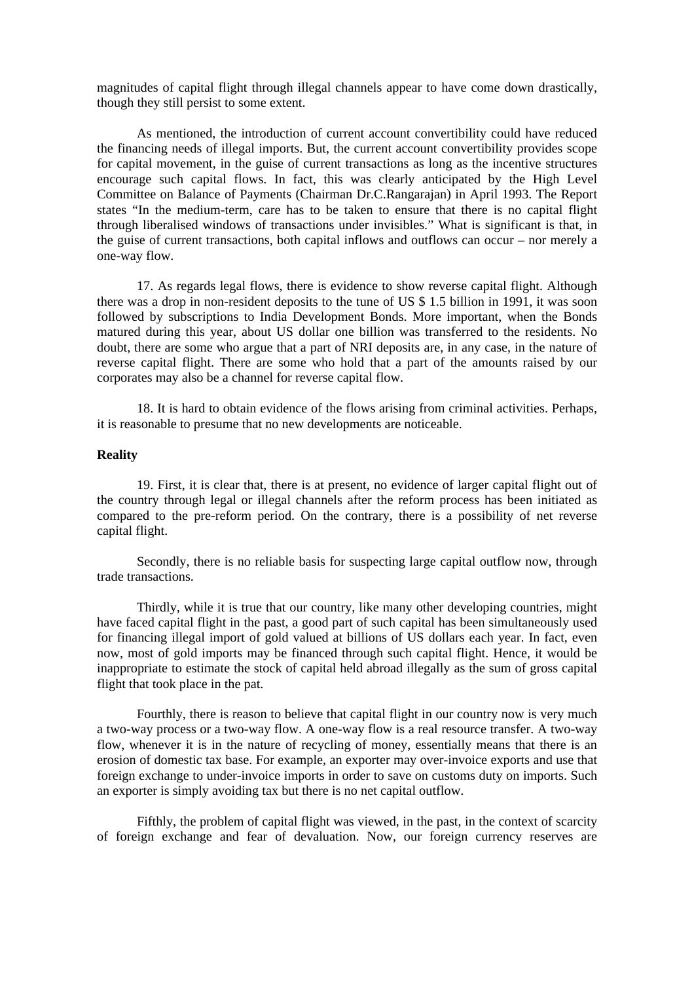magnitudes of capital flight through illegal channels appear to have come down drastically, though they still persist to some extent.

As mentioned, the introduction of current account convertibility could have reduced the financing needs of illegal imports. But, the current account convertibility provides scope for capital movement, in the guise of current transactions as long as the incentive structures encourage such capital flows. In fact, this was clearly anticipated by the High Level Committee on Balance of Payments (Chairman Dr.C.Rangarajan) in April 1993. The Report states "In the medium-term, care has to be taken to ensure that there is no capital flight through liberalised windows of transactions under invisibles." What is significant is that, in the guise of current transactions, both capital inflows and outflows can occur – nor merely a one-way flow.

17. As regards legal flows, there is evidence to show reverse capital flight. Although there was a drop in non-resident deposits to the tune of US \$ 1.5 billion in 1991, it was soon followed by subscriptions to India Development Bonds. More important, when the Bonds matured during this year, about US dollar one billion was transferred to the residents. No doubt, there are some who argue that a part of NRI deposits are, in any case, in the nature of reverse capital flight. There are some who hold that a part of the amounts raised by our corporates may also be a channel for reverse capital flow.

18. It is hard to obtain evidence of the flows arising from criminal activities. Perhaps, it is reasonable to presume that no new developments are noticeable.

### **Reality**

19. First, it is clear that, there is at present, no evidence of larger capital flight out of the country through legal or illegal channels after the reform process has been initiated as compared to the pre-reform period. On the contrary, there is a possibility of net reverse capital flight.

Secondly, there is no reliable basis for suspecting large capital outflow now, through trade transactions.

Thirdly, while it is true that our country, like many other developing countries, might have faced capital flight in the past, a good part of such capital has been simultaneously used for financing illegal import of gold valued at billions of US dollars each year. In fact, even now, most of gold imports may be financed through such capital flight. Hence, it would be inappropriate to estimate the stock of capital held abroad illegally as the sum of gross capital flight that took place in the pat.

Fourthly, there is reason to believe that capital flight in our country now is very much a two-way process or a two-way flow. A one-way flow is a real resource transfer. A two-way flow, whenever it is in the nature of recycling of money, essentially means that there is an erosion of domestic tax base. For example, an exporter may over-invoice exports and use that foreign exchange to under-invoice imports in order to save on customs duty on imports. Such an exporter is simply avoiding tax but there is no net capital outflow.

Fifthly, the problem of capital flight was viewed, in the past, in the context of scarcity of foreign exchange and fear of devaluation. Now, our foreign currency reserves are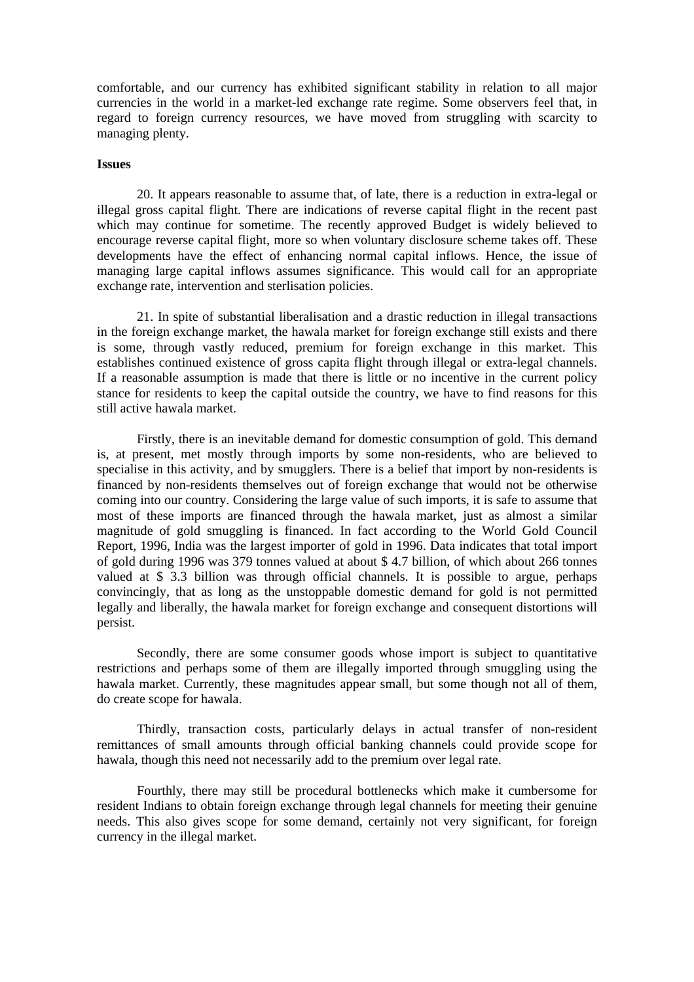comfortable, and our currency has exhibited significant stability in relation to all major currencies in the world in a market-led exchange rate regime. Some observers feel that, in regard to foreign currency resources, we have moved from struggling with scarcity to managing plenty.

### **Issues**

20. It appears reasonable to assume that, of late, there is a reduction in extra-legal or illegal gross capital flight. There are indications of reverse capital flight in the recent past which may continue for sometime. The recently approved Budget is widely believed to encourage reverse capital flight, more so when voluntary disclosure scheme takes off. These developments have the effect of enhancing normal capital inflows. Hence, the issue of managing large capital inflows assumes significance. This would call for an appropriate exchange rate, intervention and sterlisation policies.

21. In spite of substantial liberalisation and a drastic reduction in illegal transactions in the foreign exchange market, the hawala market for foreign exchange still exists and there is some, through vastly reduced, premium for foreign exchange in this market. This establishes continued existence of gross capita flight through illegal or extra-legal channels. If a reasonable assumption is made that there is little or no incentive in the current policy stance for residents to keep the capital outside the country, we have to find reasons for this still active hawala market.

Firstly, there is an inevitable demand for domestic consumption of gold. This demand is, at present, met mostly through imports by some non-residents, who are believed to specialise in this activity, and by smugglers. There is a belief that import by non-residents is financed by non-residents themselves out of foreign exchange that would not be otherwise coming into our country. Considering the large value of such imports, it is safe to assume that most of these imports are financed through the hawala market, just as almost a similar magnitude of gold smuggling is financed. In fact according to the World Gold Council Report, 1996, India was the largest importer of gold in 1996. Data indicates that total import of gold during 1996 was 379 tonnes valued at about \$ 4.7 billion, of which about 266 tonnes valued at \$ 3.3 billion was through official channels. It is possible to argue, perhaps convincingly, that as long as the unstoppable domestic demand for gold is not permitted legally and liberally, the hawala market for foreign exchange and consequent distortions will persist.

Secondly, there are some consumer goods whose import is subject to quantitative restrictions and perhaps some of them are illegally imported through smuggling using the hawala market. Currently, these magnitudes appear small, but some though not all of them, do create scope for hawala.

Thirdly, transaction costs, particularly delays in actual transfer of non-resident remittances of small amounts through official banking channels could provide scope for hawala, though this need not necessarily add to the premium over legal rate.

Fourthly, there may still be procedural bottlenecks which make it cumbersome for resident Indians to obtain foreign exchange through legal channels for meeting their genuine needs. This also gives scope for some demand, certainly not very significant, for foreign currency in the illegal market.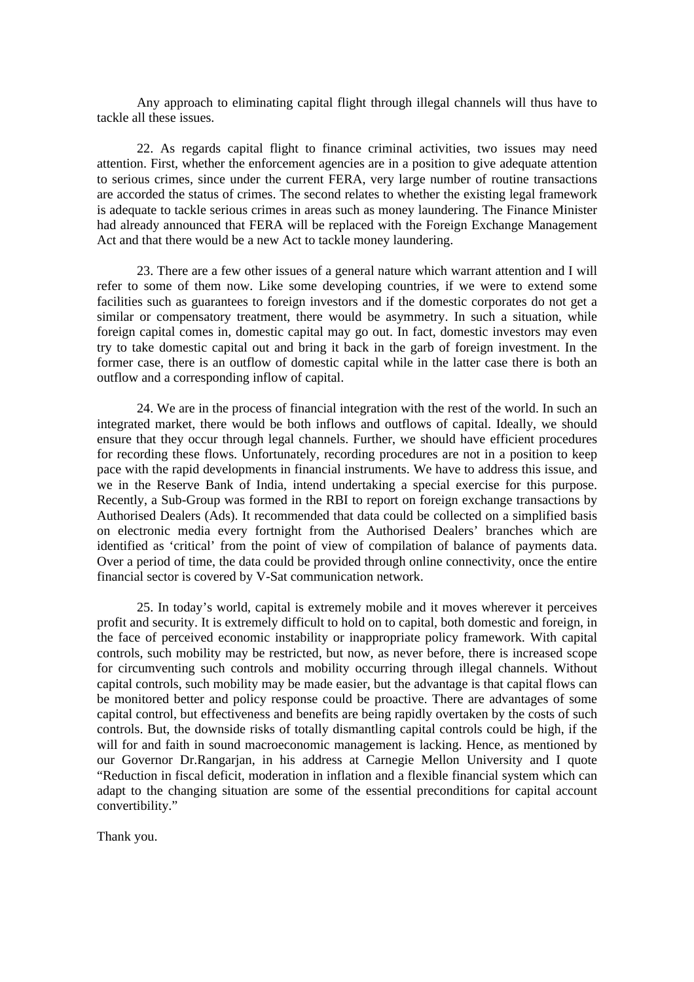Any approach to eliminating capital flight through illegal channels will thus have to tackle all these issues.

22. As regards capital flight to finance criminal activities, two issues may need attention. First, whether the enforcement agencies are in a position to give adequate attention to serious crimes, since under the current FERA, very large number of routine transactions are accorded the status of crimes. The second relates to whether the existing legal framework is adequate to tackle serious crimes in areas such as money laundering. The Finance Minister had already announced that FERA will be replaced with the Foreign Exchange Management Act and that there would be a new Act to tackle money laundering.

23. There are a few other issues of a general nature which warrant attention and I will refer to some of them now. Like some developing countries, if we were to extend some facilities such as guarantees to foreign investors and if the domestic corporates do not get a similar or compensatory treatment, there would be asymmetry. In such a situation, while foreign capital comes in, domestic capital may go out. In fact, domestic investors may even try to take domestic capital out and bring it back in the garb of foreign investment. In the former case, there is an outflow of domestic capital while in the latter case there is both an outflow and a corresponding inflow of capital.

24. We are in the process of financial integration with the rest of the world. In such an integrated market, there would be both inflows and outflows of capital. Ideally, we should ensure that they occur through legal channels. Further, we should have efficient procedures for recording these flows. Unfortunately, recording procedures are not in a position to keep pace with the rapid developments in financial instruments. We have to address this issue, and we in the Reserve Bank of India, intend undertaking a special exercise for this purpose. Recently, a Sub-Group was formed in the RBI to report on foreign exchange transactions by Authorised Dealers (Ads). It recommended that data could be collected on a simplified basis on electronic media every fortnight from the Authorised Dealers' branches which are identified as 'critical' from the point of view of compilation of balance of payments data. Over a period of time, the data could be provided through online connectivity, once the entire financial sector is covered by V-Sat communication network.

25. In today's world, capital is extremely mobile and it moves wherever it perceives profit and security. It is extremely difficult to hold on to capital, both domestic and foreign, in the face of perceived economic instability or inappropriate policy framework. With capital controls, such mobility may be restricted, but now, as never before, there is increased scope for circumventing such controls and mobility occurring through illegal channels. Without capital controls, such mobility may be made easier, but the advantage is that capital flows can be monitored better and policy response could be proactive. There are advantages of some capital control, but effectiveness and benefits are being rapidly overtaken by the costs of such controls. But, the downside risks of totally dismantling capital controls could be high, if the will for and faith in sound macroeconomic management is lacking. Hence, as mentioned by our Governor Dr.Rangarjan, in his address at Carnegie Mellon University and I quote "Reduction in fiscal deficit, moderation in inflation and a flexible financial system which can adapt to the changing situation are some of the essential preconditions for capital account convertibility."

Thank you.